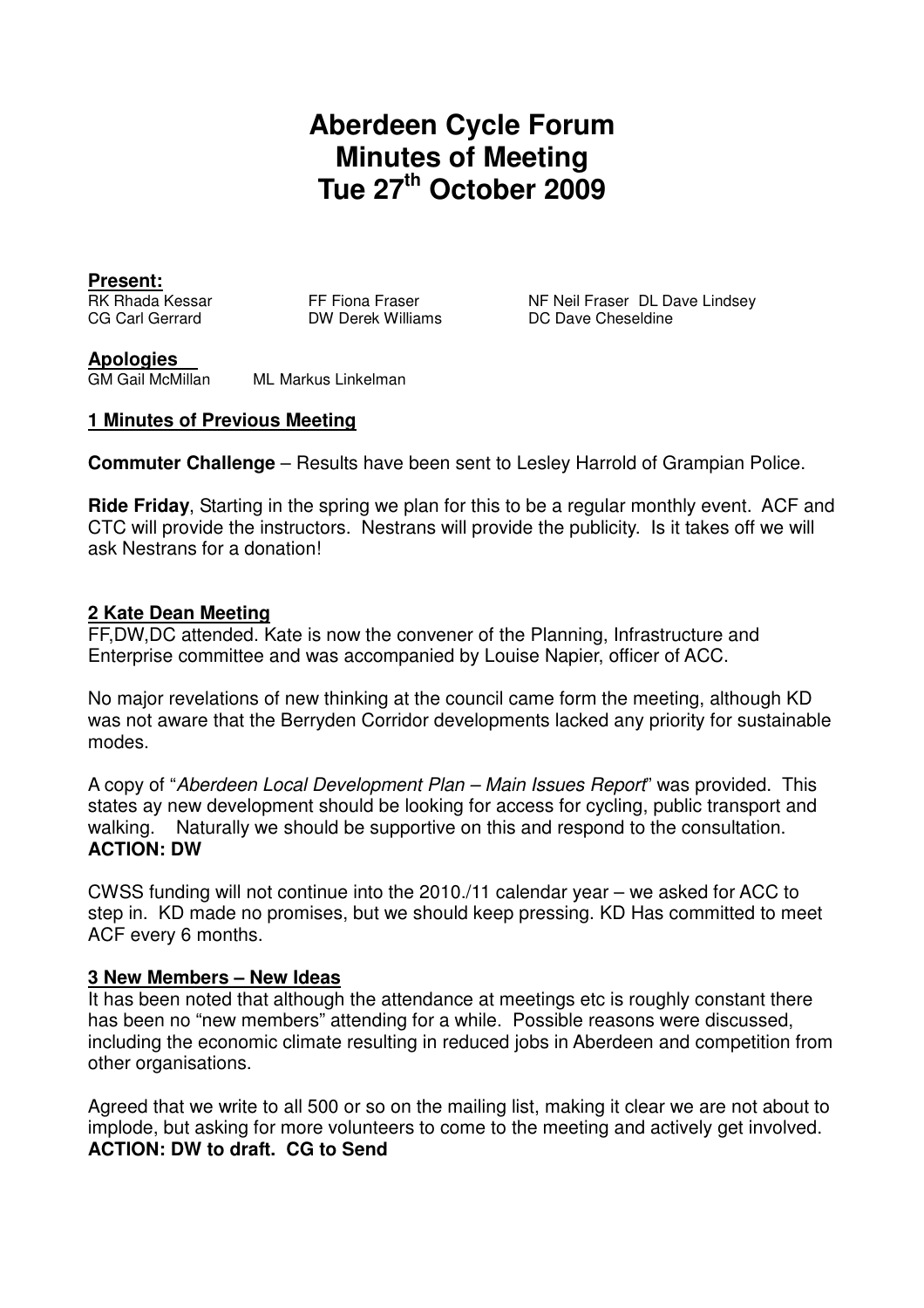# **Aberdeen Cycle Forum Minutes of Meeting Tue 27th October 2009**

**Present:**

FF Fiona Fraser **NE Neil Fraser DL Dave Lindsey** CG Carl Gerrard DW Derek Williams DC Dave Cheseldine

#### **Apologies**

GM Gail McMillan ML Markus Linkelman

## **1 Minutes of Previous Meeting**

**Commuter Challenge** – Results have been sent to Lesley Harrold of Grampian Police.

**Ride Friday**, Starting in the spring we plan for this to be a regular monthly event. ACF and CTC will provide the instructors. Nestrans will provide the publicity. Is it takes off we will ask Nestrans for a donation!

## **2 Kate Dean Meeting**

FF,DW,DC attended. Kate is now the convener of the Planning, Infrastructure and Enterprise committee and was accompanied by Louise Napier, officer of ACC.

No major revelations of new thinking at the council came form the meeting, although KD was not aware that the Berryden Corridor developments lacked any priority for sustainable modes.

A copy of "Aberdeen Local Development Plan – Main Issues Report" was provided. This states ay new development should be looking for access for cycling, public transport and walking. Naturally we should be supportive on this and respond to the consultation. **ACTION: DW**

CWSS funding will not continue into the 2010./11 calendar year – we asked for ACC to step in. KD made no promises, but we should keep pressing. KD Has committed to meet ACF every 6 months.

#### **3 New Members – New Ideas**

It has been noted that although the attendance at meetings etc is roughly constant there has been no "new members" attending for a while. Possible reasons were discussed, including the economic climate resulting in reduced jobs in Aberdeen and competition from other organisations.

Agreed that we write to all 500 or so on the mailing list, making it clear we are not about to implode, but asking for more volunteers to come to the meeting and actively get involved. **ACTION: DW to draft. CG to Send**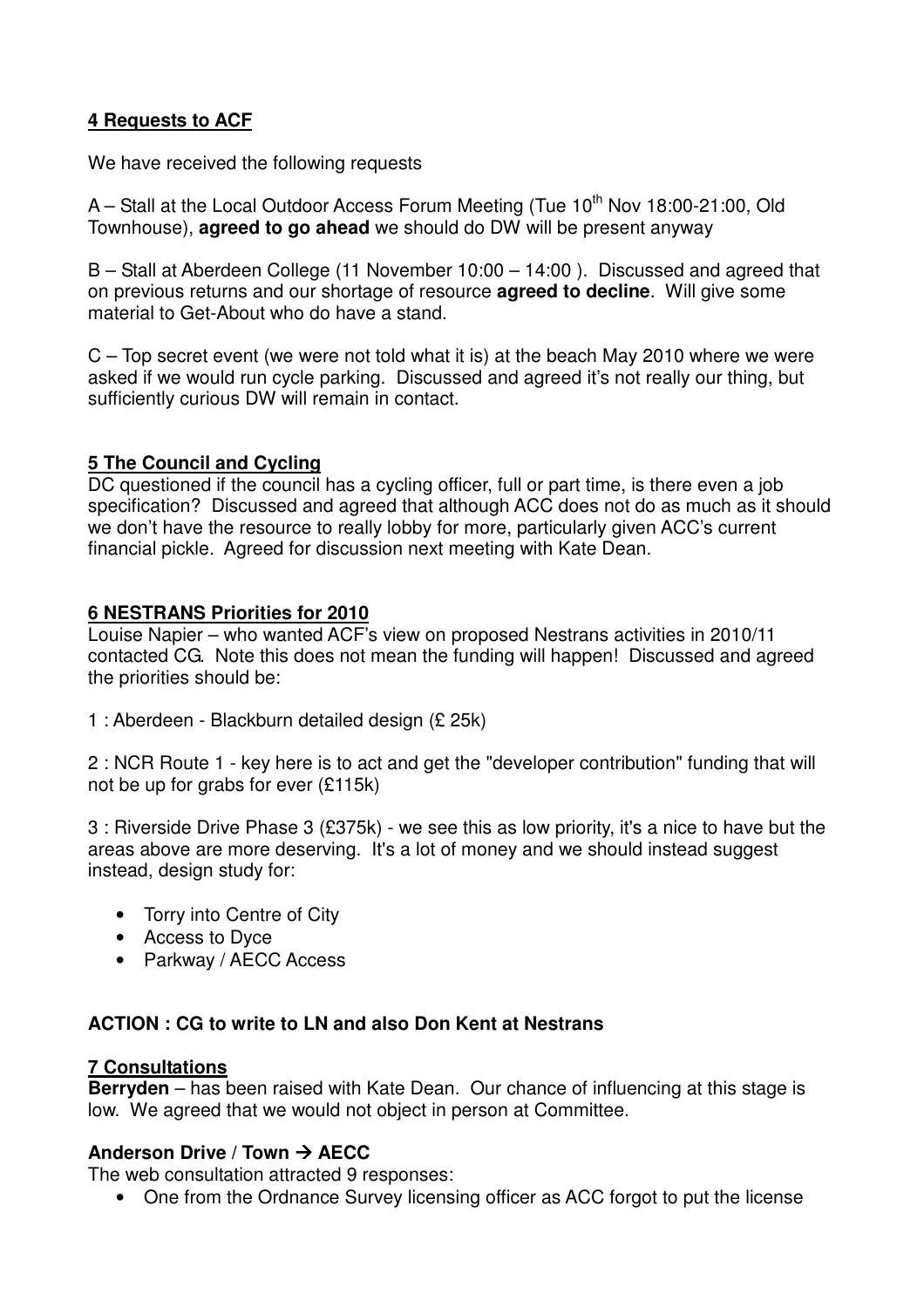# **4 Requests to ACF**

We have received the following requests

A – Stall at the Local Outdoor Access Forum Meeting (Tue  $10<sup>th</sup>$  Nov 18:00-21:00, Old Townhouse), **agreed to go ahead** we should do DW will be present anyway

B – Stall at Aberdeen College (11 November 10:00 – 14:00 ). Discussed and agreed that on previous returns and our shortage of resource **agreed to decline**. Will give some material to Get-About who do have a stand.

C – Top secret event (we were not told what it is) at the beach May 2010 where we were asked if we would run cycle parking. Discussed and agreed it's not really our thing, but sufficiently curious DW will remain in contact.

# **5 The Council and Cycling**

DC questioned if the council has a cycling officer, full or part time, is there even a job specification? Discussed and agreed that although ACC does not do as much as it should we don't have the resource to really lobby for more, particularly given ACC's current financial pickle. Agreed for discussion next meeting with Kate Dean.

## **6 NESTRANS Priorities for 2010**

Louise Napier – who wanted ACF's view on proposed Nestrans activities in 2010/11 contacted CG. Note this does not mean the funding will happen! Discussed and agreed the priorities should be:

1 : Aberdeen - Blackburn detailed design (£ 25k)

2 : NCR Route 1 - key here is to act and get the "developer contribution" funding that will not be up for grabs for ever (£115k)

3 : Riverside Drive Phase 3 (£375k) - we see this as low priority, it's a nice to have but the areas above are more deserving. It's a lot of money and we should instead suggest instead, design study for:

- Torry into Centre of City
- Access to Dyce
- Parkway / AECC Access

# **ACTION : CG to write to LN and also Don Kent at Nestrans**

#### **7 Consultations**

**Berryden** – has been raised with Kate Dean. Our chance of influencing at this stage is low. We agreed that we would not object in person at Committee.

# **Anderson Drive / Town AECC**

The web consultation attracted 9 responses:

• One from the Ordnance Survey licensing officer as ACC forgot to put the license